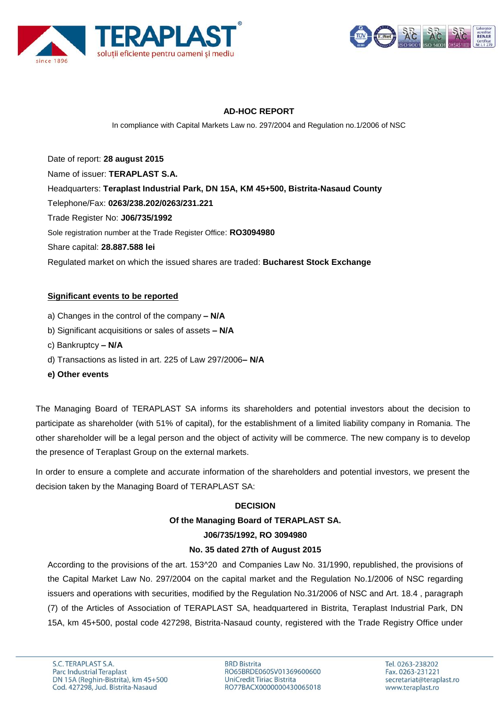



# **AD-HOC REPORT**

In compliance with Capital Markets Law no. 297/2004 and Regulation no.1/2006 of NSC

Date of report: **28 august 2015** Name of issuer: **TERAPLAST S.A.**  Headquarters: **Teraplast Industrial Park, DN 15A, KM 45+500, Bistrita-Nasaud County** Telephone/Fax: **0263/238.202/0263/231.221** Trade Register No: **J06/735/1992** Sole registration number at the Trade Register Office: **RO3094980** Share capital: **28.887.588 lei** Regulated market on which the issued shares are traded: **Bucharest Stock Exchange**

### **Significant events to be reported**

- a) Changes in the control of the company **– N/A**
- b) Significant acquisitions or sales of assets **– N/A**
- c) Bankruptcy **– N/A**
- d) Transactions as listed in art. 225 of Law 297/2006**– N/A**
- **e) Other events**

The Managing Board of TERAPLAST SA informs its shareholders and potential investors about the decision to participate as shareholder (with 51% of capital), for the establishment of a limited liability company in Romania. The other shareholder will be a legal person and the object of activity will be commerce. The new company is to develop the presence of Teraplast Group on the external markets.

In order to ensure a complete and accurate information of the shareholders and potential investors, we present the decision taken by the Managing Board of TERAPLAST SA:

### **DECISION**

#### **Of the Managing Board of TERAPLAST SA.**

#### **J06/735/1992, RO 3094980**

### **No. 35 dated 27th of August 2015**

According to the provisions of the art. 153^20 and Companies Law No. 31/1990, republished, the provisions of the Capital Market Law No. 297/2004 on the capital market and the Regulation No.1/2006 of NSC regarding issuers and operations with securities, modified by the Regulation No.31/2006 of NSC and Art. 18.4 , paragraph (7) of the Articles of Association of TERAPLAST SA, headquartered in Bistrita, Teraplast Industrial Park, DN 15A, km 45+500, postal code 427298, Bistrita-Nasaud county, registered with the Trade Registry Office under